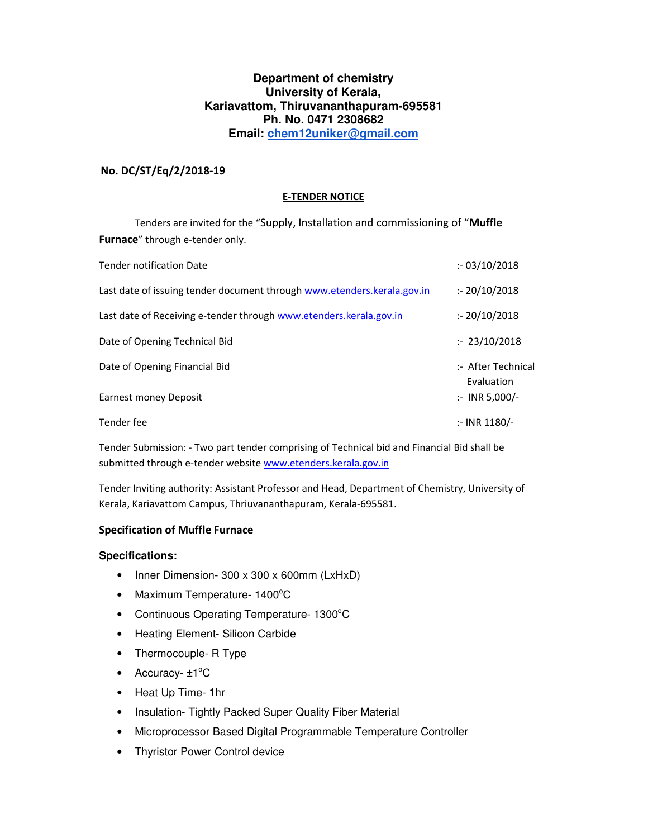### **Department of chemistry University of Kerala, Kariavattom, Thiruvananthapuram-695581 Ph. No. 0471 2308682 Email: chem12uniker@gmail.com**

### **No. DC/ST/Eq/2/2018-19**

#### **E-TENDER NOTICE**

 Tenders are invited for the "Supply, Installation and commissioning of "**Muffle Furnace**" through e-tender only.

| Tender notification Date                                                | : 03/10/2018                     |
|-------------------------------------------------------------------------|----------------------------------|
| Last date of issuing tender document through www.etenders.kerala.gov.in | : 20/10/2018                     |
| Last date of Receiving e-tender through www.etenders.kerala.gov.in      | : 20/10/2018                     |
| Date of Opening Technical Bid                                           | : 23/10/2018                     |
| Date of Opening Financial Bid                                           | :- After Technical<br>Evaluation |
| Earnest money Deposit                                                   | $\therefore$ INR 5,000/-         |
| Tender fee                                                              | $:$ INR 1180/-                   |

Tender Submission: - Two part tender comprising of Technical bid and Financial Bid shall be submitted through e-tender website www.etenders.kerala.gov.in

Tender Inviting authority: Assistant Professor and Head, Department of Chemistry, University of Kerala, Kariavattom Campus, Thriuvananthapuram, Kerala-695581.

### **Specification of Muffle Furnace**

#### **Specifications:**

- Inner Dimension- 300 x 300 x 600mm (LxHxD)
- Maximum Temperature-  $1400^{\circ}$ C
- Continuous Operating Temperature-  $1300^{\circ}$ C
- Heating Element- Silicon Carbide
- Thermocouple- R Type
- Accuracy- $\pm 1^{\circ}C$
- Heat Up Time- 1hr
- Insulation- Tightly Packed Super Quality Fiber Material
- Microprocessor Based Digital Programmable Temperature Controller
- Thyristor Power Control device